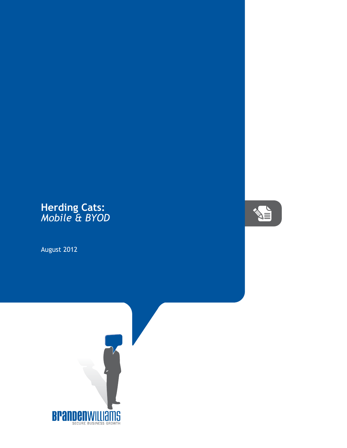## **Herding Cats:** *Mobile & BYOD*

August 2012



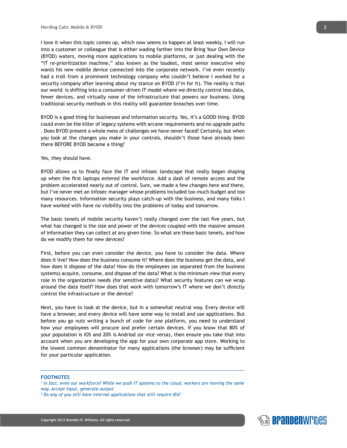I love it when this topic comes up, which now seems to happen at least weekly. I will run into a customer or colleague that is either wading farther into the Bring Your Own Device (BYOD) waters, moving more applications to mobile platforms, or just dealing with the "IT re-prioritization machine," also known as the loudest, most senior executive who wants his new mobile device connected into the corporate network. I've even recently had a troll from a prominent technology company who couldn't believe I worked for a security company after learning about my stance on BYOD (I'm for it). The reality is that our world is shifting into a consumer-driven IT model where we directly control less data, fewer devices, and virtually none of the infrastructure that powers our business. Using traditional security methods in this reality will guarantee breaches over time.

BYOD is a good thing for businesses and information security. Yes, it's a GOOD thing. BYOD could even be the killer of legacy systems with arcane requirements and no upgrade paths . Does BYOD present a whole mess of challenges we have never faced? Certainly, but when you look at the changes you make in your controls, shouldn't those have already been there BEFORE BYOD became a thing?

## Yes, they should have.

BYOD allows us to finally face the IT and infosec landscape that really began shaping up when the first laptops entered the workforce. Add a dash of remote access and the problem accelerated nearly out of control. Sure, we made a few changes here and there, but I've never met an infosec manager whose problems included too much budget and too many resources. Information security plays catch-up with the business, and many folks I have worked with have no visibility into the problems of today and tomorrow.

The basic tenets of mobile security haven't really changed over the last five years, but what has changed is the size and power of the devices coupled with the massive amount of information they can collect at any given time. So what are these basic tenets, and how do we modify them for new devices?

First, before you can even consider the device, you have to consider the data. Where does it live? How does the business consume it? Where does the business get the data, and how does it dispose of the data? How do the employees (as separated from the business systems) acquire, consume, and dispose of the data? What is the minimum view that every role in the organization needs (for sensitive data)? What security features can we wrap around the data itself? How does that work with tomorrow's IT where we don't directly control the infrastructure or the device?

Next, you have to look at the device, but in a somewhat neutral way. Every device will have a browser, and every device will have some way to install and use applications. But before you go nuts writing a bunch of code for one platform, you need to understand how your employees will procure and prefer certain devices. If you know that 80% of your population is iOS and 20% is Andriod (or vice versa), then ensure you take that into account when you are developing the app for your own corporate app store. Working to the lowest common denominator for many applications (the browser) may be sufficient for your particular application.

## **FOOTNOTES**

- *1 In fact, even our workforce! While we push IT systems to the cloud, workers are moving the same way. Accept input, generate output.*
- *2 Do any of you still have internal applications that still require IE6?*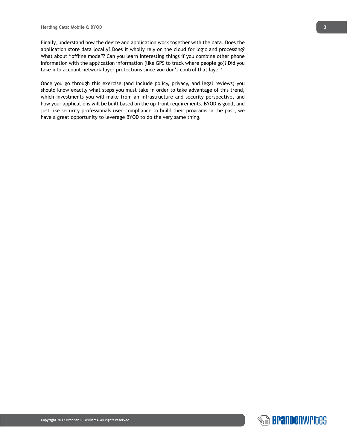Finally, understand how the device and application work together with the data. Does the application store data locally? Does it wholly rely on the cloud for logic and processing? What about "offline mode"? Can you learn interesting things if you combine other phone information with the application information (like GPS to track where people go)? Did you take into account network-layer protections since you don't control that layer?

Once you go through this exercise (and include policy, privacy, and legal reviews) you should know exactly what steps you must take in order to take advantage of this trend, which investments you will make from an infrastructure and security perspective, and how your applications will be built based on the up-front requirements. BYOD is good, and just like security professionals used compliance to build their programs in the past, we have a great opportunity to leverage BYOD to do the very same thing.